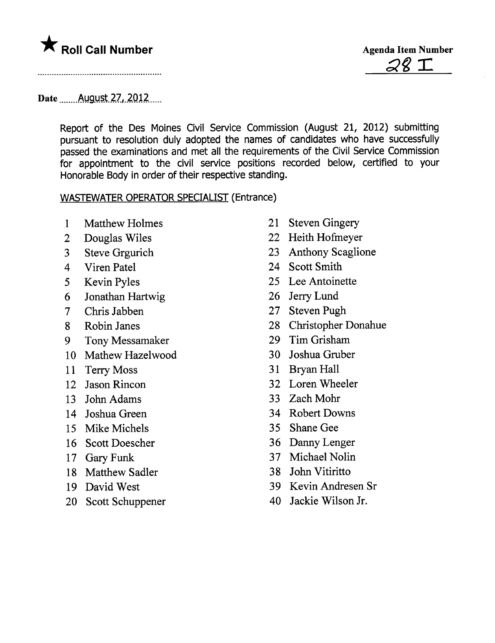# \* Roll Call Number Agenda Item Number



Date August  $27,2012$ 

Report of the Des Moines Civil Service Commission (August 21, 2012) submitting pursuant to resolution duly adopted the names of candidates who have successfully passed the examinations and met all the requirements of the Civil Service Commission for appointment to the civil service positions recorded below, certified to your Honorable Body in order of their respective standing.

#### WASTEWATER OPERATOR SPECIALIST (Entrance)

- 1 Matthew Holmes 21 Steven Gingery
- 
- 
- 
- 
- 6 Jonathan Hartwig 26 Jerry Lund
- 7 Chris Jabben 27 Steven Pugh
- 
- 9 Tony Messamaker 29 Tim Grisham
- 10 Mathew Hazelwood 30 Joshua Gruber
- 11 Terry Moss 31 Bryan Hall
- 
- 13 John Adams 33 Zach Mohr
- 
- 15 Mike Michels 35 Shane Gee
- 16 Scott Doescher 36 Dany Lenger
- 
- 18 Matthew Sadler 38 John Vitiritto
- 
- 20 Scott Schuppener 40 Jackie Wilson Jr.
- 
- 2 Douglas Wiles 22 Heith Hofmeyer
- 3 Steve Grgurich 23 Anthony Scaglione
- 4 Viren Patel 24 Scott Smith
- 5 Kevin Pyles 25 Lee Antoinette
	-
	-
- 8 Robin Janes 28 Christopher Donahue
	-
	-
	-
- 12 Jason Rincon 32 Loren Wheeler
	-
- 14 Joshua Green 34 Robert Downs
	-
	-
- 17 Gary Funk 37 Michael Nolin
	-
- 19 David West 39 Kevin Andresen Sr
	-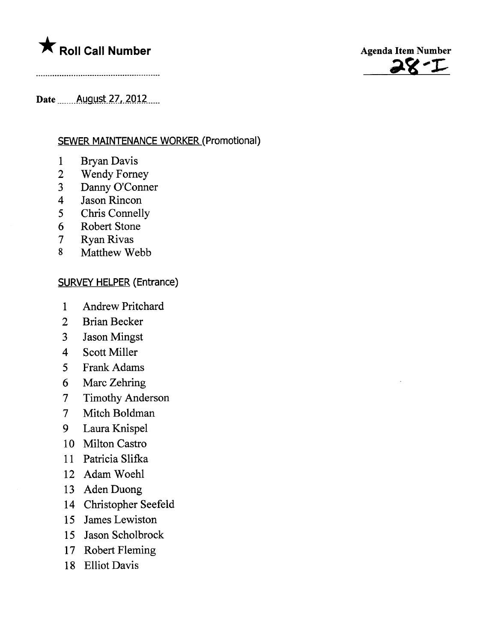# $\bigstar$  Roll Call Number



Date \_\_\_\_\_\_ August 27, 2012 \_\_\_

### **SEWER MAINTENANCE WORKER (Promotional)**

- **Bryan Davis**  $\mathbf{1}$
- $\overline{2}$ **Wendy Forney**
- Danny O'Conner  $\overline{3}$
- Jason Rincon  $\overline{4}$
- 5 Chris Connelly
- 6 **Robert Stone**
- $\overline{7}$ **Ryan Rivas**
- 8 Matthew Webb

#### **SURVEY HELPER (Entrance)**

- $\mathbf{1}$ **Andrew Pritchard**
- $\overline{2}$ **Brian Becker**
- $3<sup>1</sup>$ **Jason Mingst**
- $\overline{4}$ **Scott Miller**
- **Frank Adams**  $\overline{5}$
- 6 Marc Zehring
- **Timothy Anderson**  $\overline{\mathcal{L}}$
- Mitch Boldman  $\overline{\mathcal{L}}$
- 9 Laura Knispel
- 10 Milton Castro
- 11 Patricia Slifka
- 12 Adam Woehl
- 13 Aden Duong
- 14 Christopher Seefeld
- 15 James Lewiston
- 15 Jason Scholbrock
- 17 Robert Fleming
- 18 Elliot Davis